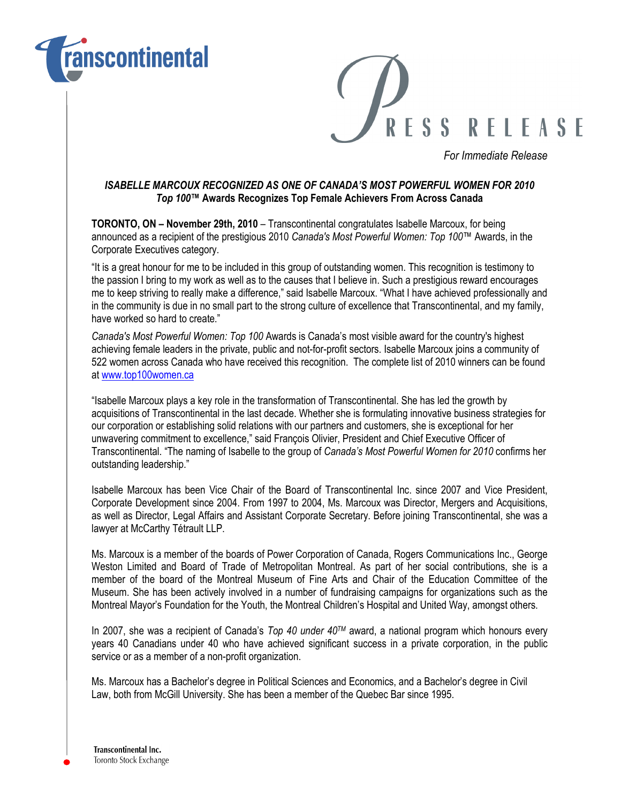



For Immediate Release

## ISABELLE MARCOUX RECOGNIZED AS ONE OF CANADA'S MOST POWERFUL WOMEN FOR 2010 Top 100™ Awards Recognizes Top Female Achievers From Across Canada

TORONTO, ON – November 29th, 2010 – Transcontinental congratulates Isabelle Marcoux, for being announced as a recipient of the prestigious 2010 Canada's Most Powerful Women: Top 100™ Awards, in the Corporate Executives category.

"It is a great honour for me to be included in this group of outstanding women. This recognition is testimony to the passion I bring to my work as well as to the causes that I believe in. Such a prestigious reward encourages me to keep striving to really make a difference," said Isabelle Marcoux. "What I have achieved professionally and in the community is due in no small part to the strong culture of excellence that Transcontinental, and my family, have worked so hard to create."

Canada's Most Powerful Women: Top 100 Awards is Canada's most visible award for the country's highest achieving female leaders in the private, public and not-for-profit sectors. Isabelle Marcoux joins a community of 522 women across Canada who have received this recognition. The complete list of 2010 winners can be found at www.top100women.ca

"Isabelle Marcoux plays a key role in the transformation of Transcontinental. She has led the growth by acquisitions of Transcontinental in the last decade. Whether she is formulating innovative business strategies for our corporation or establishing solid relations with our partners and customers, she is exceptional for her unwavering commitment to excellence," said François Olivier, President and Chief Executive Officer of Transcontinental. "The naming of Isabelle to the group of Canada's Most Powerful Women for 2010 confirms her outstanding leadership."

Isabelle Marcoux has been Vice Chair of the Board of Transcontinental Inc. since 2007 and Vice President, Corporate Development since 2004. From 1997 to 2004, Ms. Marcoux was Director, Mergers and Acquisitions, as well as Director, Legal Affairs and Assistant Corporate Secretary. Before joining Transcontinental, she was a lawyer at McCarthy Tétrault LLP.

Ms. Marcoux is a member of the boards of Power Corporation of Canada, Rogers Communications Inc., George Weston Limited and Board of Trade of Metropolitan Montreal. As part of her social contributions, she is a member of the board of the Montreal Museum of Fine Arts and Chair of the Education Committee of the Museum. She has been actively involved in a number of fundraising campaigns for organizations such as the Montreal Mayor's Foundation for the Youth, the Montreal Children's Hospital and United Way, amongst others.

In 2007, she was a recipient of Canada's Top 40 under  $40^{TM}$  award, a national program which honours every years 40 Canadians under 40 who have achieved significant success in a private corporation, in the public service or as a member of a non-profit organization.

Ms. Marcoux has a Bachelor's degree in Political Sciences and Economics, and a Bachelor's degree in Civil Law, both from McGill University. She has been a member of the Quebec Bar since 1995.